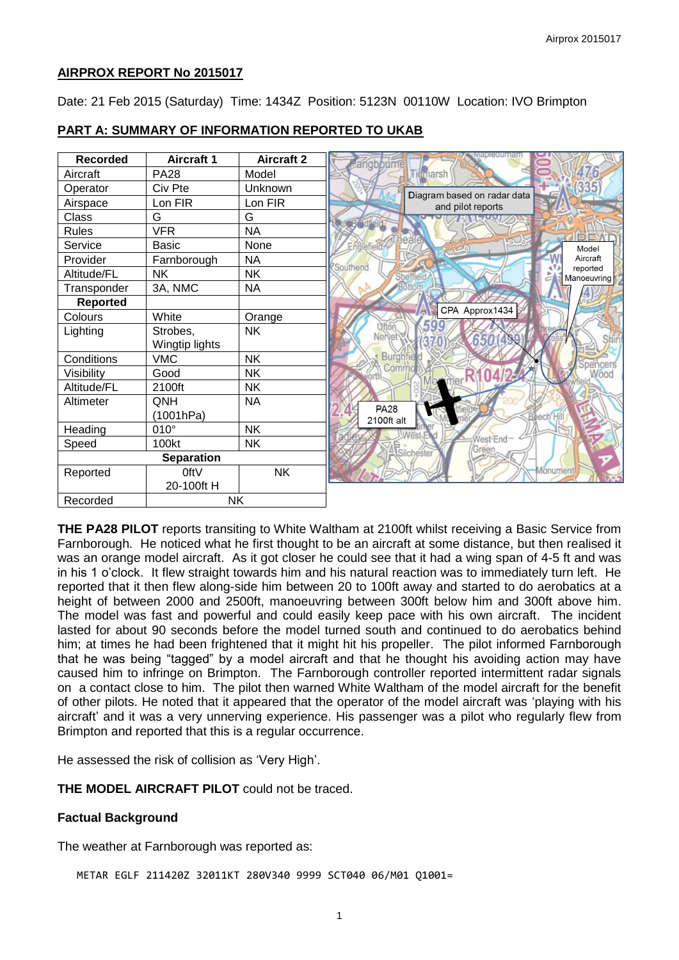# **AIRPROX REPORT No 2015017**

Date: 21 Feb 2015 (Saturday) Time: 1434Z Position: 5123N 00110W Location: IVO Brimpton

| <b>Recorded</b>   | <b>Aircraft 1</b> | <b>Aircraft 2</b> | apieguman<br>angbpurne      |
|-------------------|-------------------|-------------------|-----------------------------|
| Aircraft          | <b>PA28</b>       | Model             | <b>Tiomarsh</b>             |
| Operator          | Civ Pte           | Unknown           | Diagram based on radar data |
| Airspace          | Lon FIR           | Lon FIR           | and pilot reports           |
| Class             | G                 | G                 |                             |
| <b>Rules</b>      | <b>VFR</b>        | <b>NA</b>         |                             |
| Service           | <b>Basic</b>      | None              | Model                       |
| Provider          | Farnborough       | <b>NA</b>         | Aircraft<br>Southend        |
| Altitude/FL       | NΚ                | <b>NK</b>         | reported<br>Manoeuvring     |
| Transponder       | 3A, NMC           | <b>NA</b>         |                             |
| <b>Reported</b>   |                   |                   |                             |
| Colours           | White             | Orange            | CPA Approx1434              |
| Lighting          | Strobes,          | <b>NK</b>         |                             |
|                   | Wingtip lights    |                   | 650                         |
| Conditions        | <b>VMC</b>        | <b>NK</b>         | <b>Burghf</b><br>cers       |
| Visibility        | Good              | <b>NK</b>         | Comm<br>Wood                |
| Altitude/FL       | 2100ft            | <b>NK</b>         |                             |
| Altimeter         | QNH               | <b>NA</b>         | <b>PA28</b>                 |
|                   | (1001hPa)         |                   | <b>Beech</b><br>2100ft alt  |
| Heading           | $010^\circ$       | <b>NK</b>         |                             |
| Speed             | 100kt             | <b>NK</b>         | West-End<br>TAA             |
| <b>Separation</b> |                   |                   | Silcheste                   |
| Reported          | 0ftV              | <b>NK</b>         | Monumen                     |
|                   | 20-100ft H        |                   |                             |
| Recorded          | <b>NK</b>         |                   |                             |

# **PART A: SUMMARY OF INFORMATION REPORTED TO UKAB**

**THE PA28 PILOT** reports transiting to White Waltham at 2100ft whilst receiving a Basic Service from Farnborough. He noticed what he first thought to be an aircraft at some distance, but then realised it was an orange model aircraft. As it got closer he could see that it had a wing span of 4-5 ft and was in his 1 o'clock. It flew straight towards him and his natural reaction was to immediately turn left. He reported that it then flew along-side him between 20 to 100ft away and started to do aerobatics at a height of between 2000 and 2500ft, manoeuvring between 300ft below him and 300ft above him. The model was fast and powerful and could easily keep pace with his own aircraft. The incident lasted for about 90 seconds before the model turned south and continued to do aerobatics behind him; at times he had been frightened that it might hit his propeller. The pilot informed Farnborough that he was being "tagged" by a model aircraft and that he thought his avoiding action may have caused him to infringe on Brimpton. The Farnborough controller reported intermittent radar signals on a contact close to him. The pilot then warned White Waltham of the model aircraft for the benefit of other pilots. He noted that it appeared that the operator of the model aircraft was 'playing with his aircraft' and it was a very unnerving experience. His passenger was a pilot who regularly flew from Brimpton and reported that this is a regular occurrence.

He assessed the risk of collision as 'Very High'.

**THE MODEL AIRCRAFT PILOT** could not be traced.

## **Factual Background**

The weather at Farnborough was reported as:

METAR EGLF 211420Z 32011KT 280V340 9999 SCT040 06/M01 Q1001=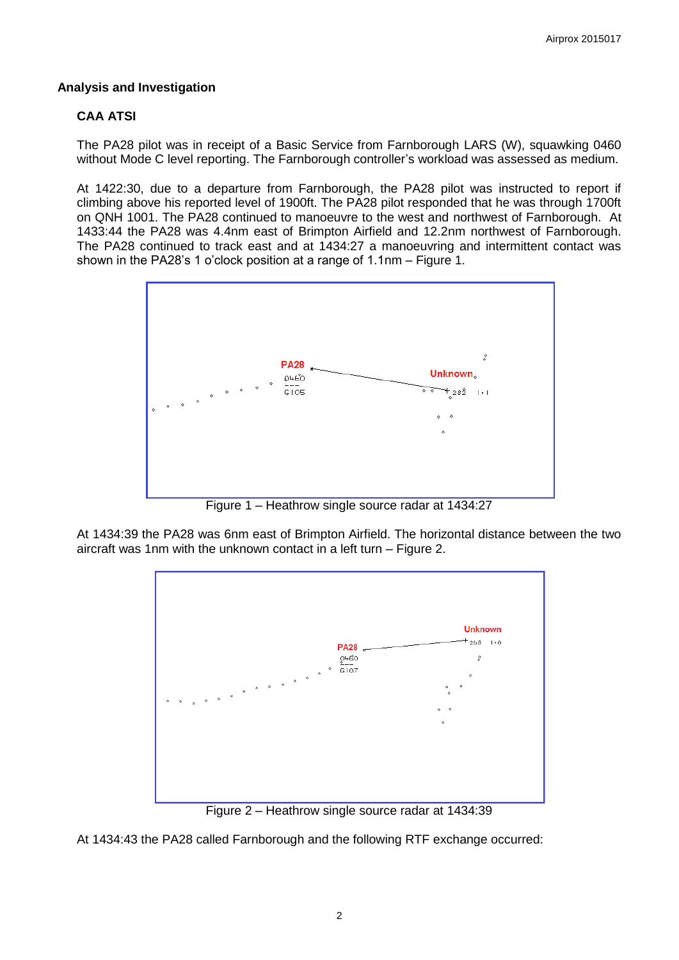# **Analysis and Investigation**

# **CAA ATSI**

The PA28 pilot was in receipt of a Basic Service from Farnborough LARS (W), squawking 0460 without Mode C level reporting. The Farnborough controller's workload was assessed as medium.

At 1422:30, due to a departure from Farnborough, the PA28 pilot was instructed to report if climbing above his reported level of 1900ft. The PA28 pilot responded that he was through 1700ft on QNH 1001. The PA28 continued to manoeuvre to the west and northwest of Farnborough. At 1433:44 the PA28 was 4.4nm east of Brimpton Airfield and 12.2nm northwest of Farnborough. The PA28 continued to track east and at 1434:27 a manoeuvring and intermittent contact was shown in the PA28's 1 o'clock position at a range of 1.1nm – Figure 1.



Figure 1 – Heathrow single source radar at 1434:27

At 1434:39 the PA28 was 6nm east of Brimpton Airfield. The horizontal distance between the two aircraft was 1nm with the unknown contact in a left turn – Figure 2.



Figure 2 – Heathrow single source radar at 1434:39

At 1434:43 the PA28 called Farnborough and the following RTF exchange occurred: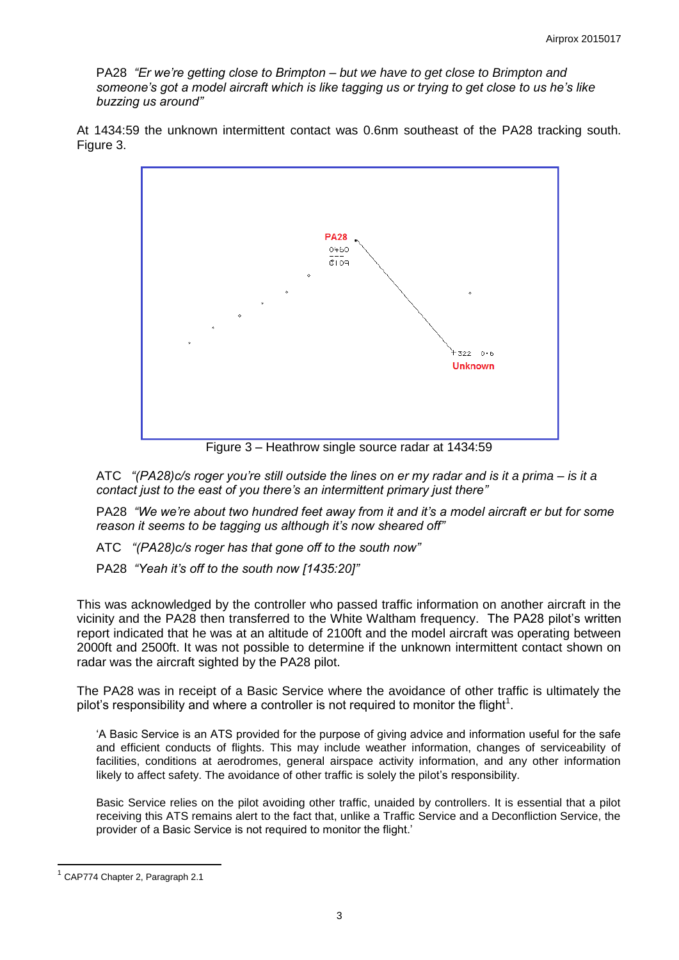PA28 *"Er we're getting close to Brimpton – but we have to get close to Brimpton and someone's got a model aircraft which is like tagging us or trying to get close to us he's like buzzing us around"*

At 1434:59 the unknown intermittent contact was 0.6nm southeast of the PA28 tracking south. Figure 3.



Figure 3 – Heathrow single source radar at 1434:59

ATC *"(PA28)c/s roger you're still outside the lines on er my radar and is it a prima – is it a contact just to the east of you there's an intermittent primary just there"*

PA28 *"We we're about two hundred feet away from it and it's a model aircraft er but for some reason it seems to be tagging us although it's now sheared off"*

ATC *"(PA28)c/s roger has that gone off to the south now"*

PA28 *"Yeah it's off to the south now [1435:20]"* 

This was acknowledged by the controller who passed traffic information on another aircraft in the vicinity and the PA28 then transferred to the White Waltham frequency. The PA28 pilot's written report indicated that he was at an altitude of 2100ft and the model aircraft was operating between 2000ft and 2500ft. It was not possible to determine if the unknown intermittent contact shown on radar was the aircraft sighted by the PA28 pilot.

The PA28 was in receipt of a Basic Service where the avoidance of other traffic is ultimately the pilot's responsibility and where a controller is not required to monitor the flight<sup>1</sup>.

'A Basic Service is an ATS provided for the purpose of giving advice and information useful for the safe and efficient conducts of flights. This may include weather information, changes of serviceability of facilities, conditions at aerodromes, general airspace activity information, and any other information likely to affect safety. The avoidance of other traffic is solely the pilot's responsibility.

Basic Service relies on the pilot avoiding other traffic, unaided by controllers. It is essential that a pilot receiving this ATS remains alert to the fact that, unlike a Traffic Service and a Deconfliction Service, the provider of a Basic Service is not required to monitor the flight.'

 $\overline{\phantom{a}}$ 

<sup>&</sup>lt;sup>1</sup> CAP774 Chapter 2, Paragraph 2.1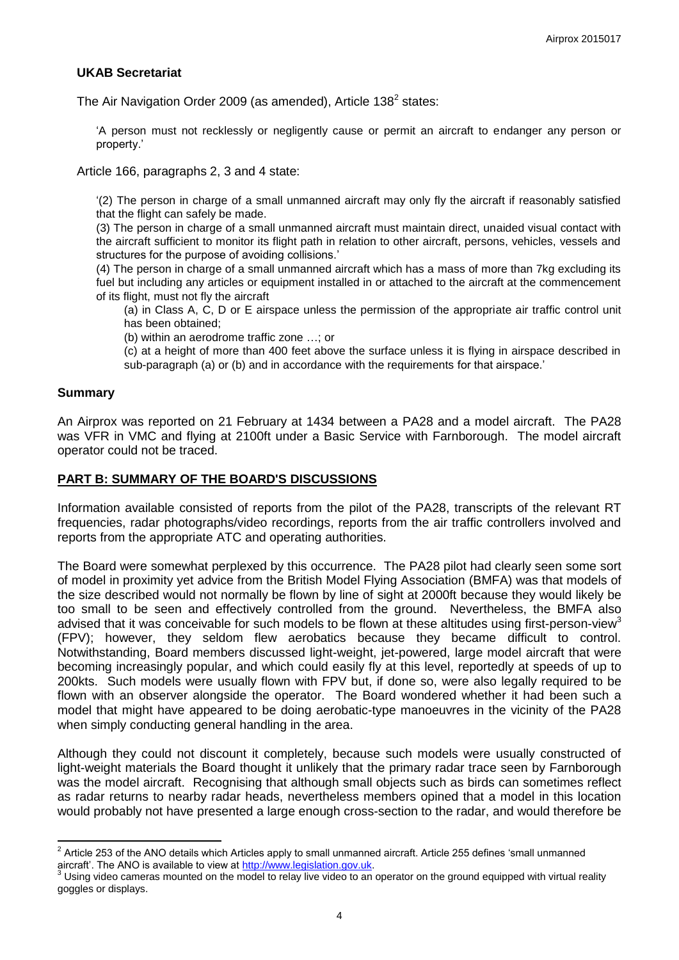## **UKAB Secretariat**

The Air Navigation Order 2009 (as amended), Article 138 $2$  states:

'A person must not recklessly or negligently cause or permit an aircraft to endanger any person or property.'

Article 166, paragraphs 2, 3 and 4 state:

'(2) The person in charge of a small unmanned aircraft may only fly the aircraft if reasonably satisfied that the flight can safely be made.

(3) The person in charge of a small unmanned aircraft must maintain direct, unaided visual contact with the aircraft sufficient to monitor its flight path in relation to other aircraft, persons, vehicles, vessels and structures for the purpose of avoiding collisions.'

(4) The person in charge of a small unmanned aircraft which has a mass of more than 7kg excluding its fuel but including any articles or equipment installed in or attached to the aircraft at the commencement of its flight, must not fly the aircraft

(a) in Class A, C, D or E airspace unless the permission of the appropriate air traffic control unit has been obtained;

(b) within an aerodrome traffic zone …; or

(c) at a height of more than 400 feet above the surface unless it is flying in airspace described in sub-paragraph (a) or (b) and in accordance with the requirements for that airspace.'

#### **Summary**

An Airprox was reported on 21 February at 1434 between a PA28 and a model aircraft. The PA28 was VFR in VMC and flying at 2100ft under a Basic Service with Farnborough. The model aircraft operator could not be traced.

### **PART B: SUMMARY OF THE BOARD'S DISCUSSIONS**

Information available consisted of reports from the pilot of the PA28, transcripts of the relevant RT frequencies, radar photographs/video recordings, reports from the air traffic controllers involved and reports from the appropriate ATC and operating authorities.

The Board were somewhat perplexed by this occurrence. The PA28 pilot had clearly seen some sort of model in proximity yet advice from the British Model Flying Association (BMFA) was that models of the size described would not normally be flown by line of sight at 2000ft because they would likely be too small to be seen and effectively controlled from the ground. Nevertheless, the BMFA also advised that it was conceivable for such models to be flown at these altitudes using first-person-view<sup>3</sup> (FPV); however, they seldom flew aerobatics because they became difficult to control. Notwithstanding, Board members discussed light-weight, jet-powered, large model aircraft that were becoming increasingly popular, and which could easily fly at this level, reportedly at speeds of up to 200kts. Such models were usually flown with FPV but, if done so, were also legally required to be flown with an observer alongside the operator. The Board wondered whether it had been such a model that might have appeared to be doing aerobatic-type manoeuvres in the vicinity of the PA28 when simply conducting general handling in the area.

Although they could not discount it completely, because such models were usually constructed of light-weight materials the Board thought it unlikely that the primary radar trace seen by Farnborough was the model aircraft. Recognising that although small objects such as birds can sometimes reflect as radar returns to nearby radar heads, nevertheless members opined that a model in this location would probably not have presented a large enough cross-section to the radar, and would therefore be

 2 Article 253 of the ANO details which Articles apply to small unmanned aircraft. Article 255 defines 'small unmanned aircraft'. The ANO is available to view at [http://www.legislation.gov.uk.](http://www.legislation.gov.uk/)<sup>3</sup> Using video compression.

Using video cameras mounted on the model to relay live video to an operator on the ground equipped with virtual reality goggles or displays.